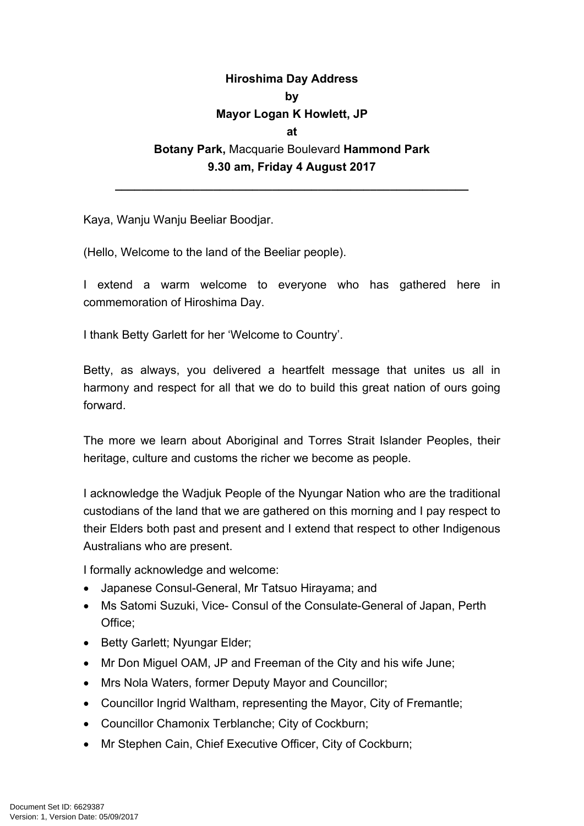## **Hiroshima Day Address by Mayor Logan K Howlett, JP at Botany Park,** Macquarie Boulevard **Hammond Park 9.30 am, Friday 4 August 2017**

**\_\_\_\_\_\_\_\_\_\_\_\_\_\_\_\_\_\_\_\_\_\_\_\_\_\_\_\_\_\_\_\_\_\_\_\_\_\_\_\_\_\_\_\_\_\_\_\_\_\_\_\_\_\_**

Kaya, Wanju Wanju Beeliar Boodjar.

(Hello, Welcome to the land of the Beeliar people).

I extend a warm welcome to everyone who has gathered here in commemoration of Hiroshima Day.

I thank Betty Garlett for her 'Welcome to Country'.

Betty, as always, you delivered a heartfelt message that unites us all in harmony and respect for all that we do to build this great nation of ours going forward.

The more we learn about Aboriginal and Torres Strait Islander Peoples, their heritage, culture and customs the richer we become as people.

I acknowledge the Wadjuk People of the Nyungar Nation who are the traditional custodians of the land that we are gathered on this morning and I pay respect to their Elders both past and present and I extend that respect to other Indigenous Australians who are present.

I formally acknowledge and welcome:

- Japanese Consul-General, Mr Tatsuo Hirayama; and
- Ms Satomi Suzuki, Vice- Consul of the Consulate-General of Japan, Perth Office;
- Betty Garlett; Nyungar Elder;
- Mr Don Miguel OAM, JP and Freeman of the City and his wife June;
- Mrs Nola Waters, former Deputy Mayor and Councillor:
- Councillor Ingrid Waltham, representing the Mayor, City of Fremantle;
- Councillor Chamonix Terblanche; City of Cockburn;
- Mr Stephen Cain, Chief Executive Officer, City of Cockburn;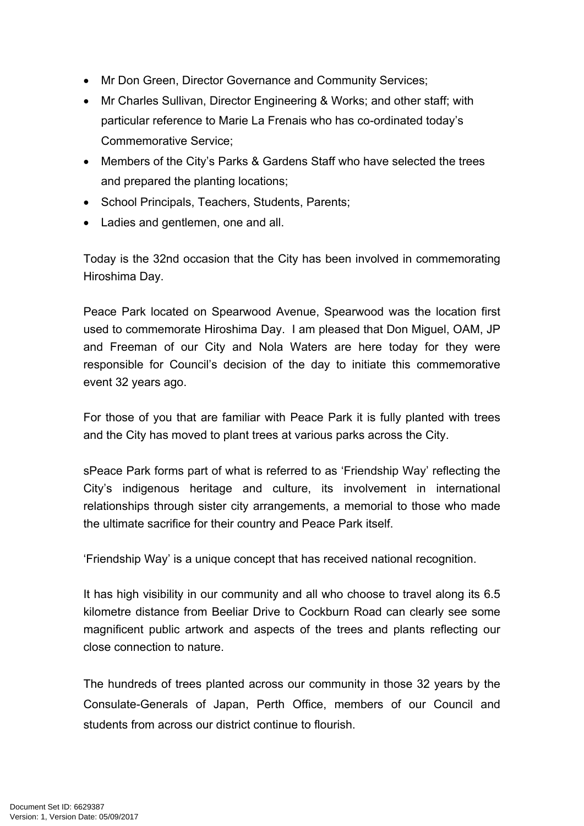- Mr Don Green, Director Governance and Community Services;
- Mr Charles Sullivan, Director Engineering & Works; and other staff; with particular reference to Marie La Frenais who has co-ordinated today's Commemorative Service;
- Members of the City's Parks & Gardens Staff who have selected the trees and prepared the planting locations;
- School Principals, Teachers, Students, Parents;
- Ladies and gentlemen, one and all.

Today is the 32nd occasion that the City has been involved in commemorating Hiroshima Day.

Peace Park located on Spearwood Avenue, Spearwood was the location first used to commemorate Hiroshima Day. I am pleased that Don Miguel, OAM, JP and Freeman of our City and Nola Waters are here today for they were responsible for Council's decision of the day to initiate this commemorative event 32 years ago.

For those of you that are familiar with Peace Park it is fully planted with trees and the City has moved to plant trees at various parks across the City.

sPeace Park forms part of what is referred to as 'Friendship Way' reflecting the City's indigenous heritage and culture, its involvement in international relationships through sister city arrangements, a memorial to those who made the ultimate sacrifice for their country and Peace Park itself.

'Friendship Way' is a unique concept that has received national recognition.

It has high visibility in our community and all who choose to travel along its 6.5 kilometre distance from Beeliar Drive to Cockburn Road can clearly see some magnificent public artwork and aspects of the trees and plants reflecting our close connection to nature.

The hundreds of trees planted across our community in those 32 years by the Consulate-Generals of Japan, Perth Office, members of our Council and students from across our district continue to flourish.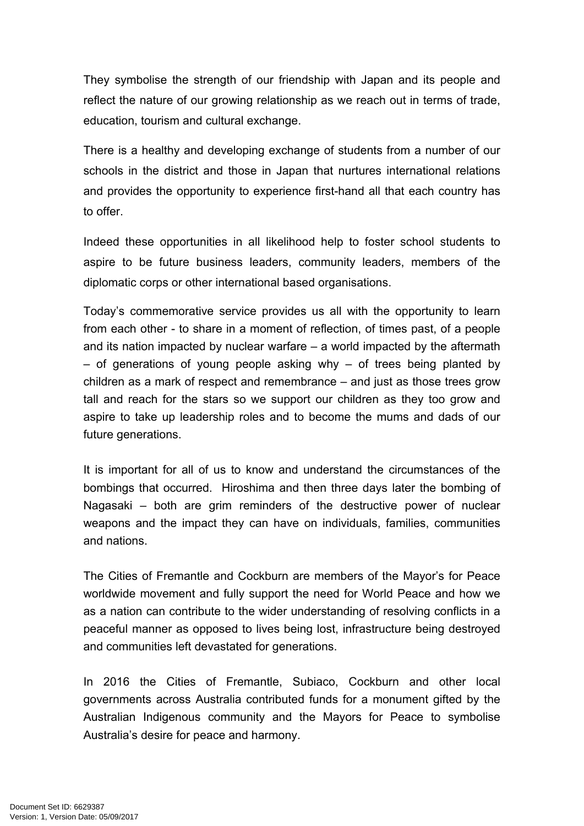They symbolise the strength of our friendship with Japan and its people and reflect the nature of our growing relationship as we reach out in terms of trade, education, tourism and cultural exchange.

There is a healthy and developing exchange of students from a number of our schools in the district and those in Japan that nurtures international relations and provides the opportunity to experience first-hand all that each country has to offer.

Indeed these opportunities in all likelihood help to foster school students to aspire to be future business leaders, community leaders, members of the diplomatic corps or other international based organisations.

Today's commemorative service provides us all with the opportunity to learn from each other - to share in a moment of reflection, of times past, of a people and its nation impacted by nuclear warfare – a world impacted by the aftermath  $-$  of generations of young people asking why  $-$  of trees being planted by children as a mark of respect and remembrance – and just as those trees grow tall and reach for the stars so we support our children as they too grow and aspire to take up leadership roles and to become the mums and dads of our future generations.

It is important for all of us to know and understand the circumstances of the bombings that occurred. Hiroshima and then three days later the bombing of Nagasaki – both are grim reminders of the destructive power of nuclear weapons and the impact they can have on individuals, families, communities and nations.

The Cities of Fremantle and Cockburn are members of the Mayor's for Peace worldwide movement and fully support the need for World Peace and how we as a nation can contribute to the wider understanding of resolving conflicts in a peaceful manner as opposed to lives being lost, infrastructure being destroyed and communities left devastated for generations.

In 2016 the Cities of Fremantle, Subiaco, Cockburn and other local governments across Australia contributed funds for a monument gifted by the Australian Indigenous community and the Mayors for Peace to symbolise Australia's desire for peace and harmony.